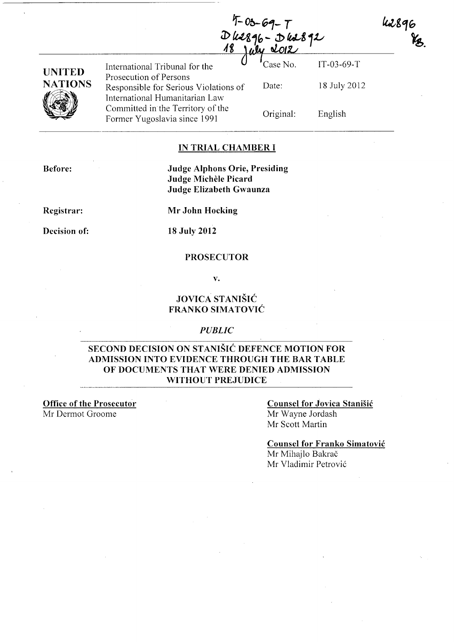$4 - 03 - 69 - 7$  $D$  keggo- $D$  ka $B$ ge July 2012



International Tribunal for the  $\mathbf{U}$   $\mathbf{C}$  Case No. IT-03-69-T Prosecution of Persons Responsible for Serious Violations of International Humanitarian Law Committed in the Territory of the Former Yugoslavia since 1991

Date: Original: 18 July 2012

English

42896

### **IN TRIAL CHAMBER I**

**Before:** 

**Judge Alphons Orie, Presiding Judge Michele Picard Judge Elizabeth Gwaunza** 

**Registrar:** 

**Decision of:** 

**Mr John Hocking** 

### **18 July 2012**

### **PROSECUTOR**

v.

### **JOVICA STANIŠIĆ FRANKO SIMATOVIC**

### *PUBLIC*

**SECOND DECISION ON STANIŠIĆ DEFENCE MOTION FOR ADMISSION INTO EVIDENCE THROUGH THE BAR TABLE OF DOCUMENTS THAT WERE DENIED ADMISSION WITHOUT PREJUDICE** 

**Office of the Prosecutor**  Mr Dermot Groome

**Counsel for Jovica Stanisic**  Mr Wayne Jordash Mr Scott Martin

**Counsel for Franko Simatovic**  Mr Mihajlo Bakrač Mr Vladimir Petrovi6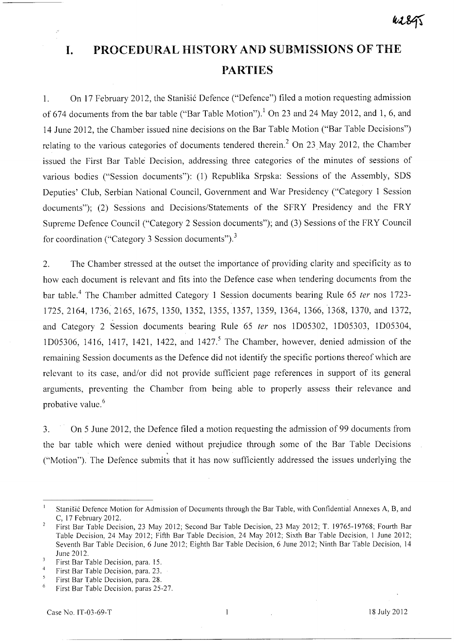# **I. PROCEDURAL HISTORY AND SUBMISSIONS OF THE PARTIES**

1. On 17 February 2012, the Stanisic Defence ("Defence") filed a motion requesting admission of 674 documents from the bar table ("Bar Table Motion").<sup>1</sup> On 23 and 24 May 2012, and 1, 6, and 14 June 2012, the Chamber issued nine decisions on the Bar Table Motion ("Bar Table Decisions") relating to the various categories of documents tendered therein.<sup>2</sup> On 23 May 2012, the Chamber issued the First Bar Table Decision, addressing three categories of the minutes of sessions of various bodies ("Session documents"): (1) Republika Srpska: Sessions of the Assembly, SDS Deputies' Club, Serbian National Council, Government and War Presidency ("Category 1 Session documents"); (2) Sessions and Decisions/Statements of the SFRY Presidency and the FRY Supreme Defence Council ("Category 2 Session documents"); and (3) Sessions of the FRY Council for coordination ("Category 3 Session documents").<sup>3</sup>

2. The Chamber stressed at the outset the importance of providing clarity and specificity as to how each document is relevant and fits into the Defence case when tendering documents from the bar table.<sup>4</sup> The Chamber admitted Category 1 Session documents bearing Rule 65 *ter* nos 1723-1725,2164,1736,2165,1675,1350,1352,1355,1357,1359, 1364, 1366, 1368, 1370, and 1372, and Category 2 Session documents bearing Rule 65 *ter* nos ID05302, ID05303, ID05304, 1D05306, 1416, 1417, 1421, 1422, and  $1427<sup>5</sup>$  The Chamber, however, denied admission of the remaining Session documents as the Defence did not identify the specific portions thereof which are relevant to its case, and/or did not provide sufficient page references in support of its general arguments, preventing the Chamber from being able to properly assess their relevance and probative value. <sup>6</sup>

3. On 5 June 2012, the Defence filed a motion requesting the admission of 99 documents from the bar table which were denied without prejudice through some of the Bar Table Decisions ("Motion"). The Defence submits that it has now sufficiently addressed the issues underlying the

 $\mathbf{1}$ Stanišić Defence Motion for Admission of Documents through the Bar Table, with Confidential Annexes A, B, and C, 17 February 2012.

 $\sqrt{2}$ First Bar Table Decision, 23 May 2012; Second Bar Table Decision, 23 May 2012; T. 19765-19768; Fourth Bar Table Decision, 24 May 2012; Fifth Bar Table Decision, 24 May 2012; Sixth Bar Table Decision, I June 2012; Seventh Bar Table Decision, 6 June 2012; Eighth Bar Table Decision, 6 June 2012; Ninth Bar Table Decision, 14 June 2012.

 $\mathcal{L}$ First Bar Table Decision, para. IS.

 $\overline{4}$ First Bar Table Decision, para. 23.

<sup>5</sup> First Bar Table Decision, para. 28.

<sup>6</sup> First Bar Table Decision, paras 25-27.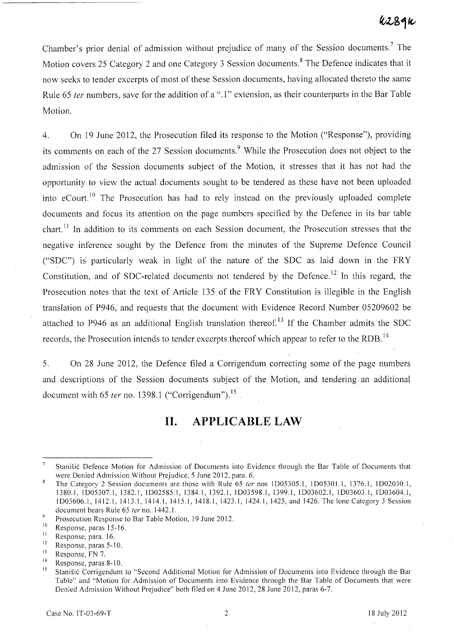Chamber's prior denial of admission without prejudice of many of the Session documents.<sup>7</sup> The Motion covers 25 Category 2 and one Category 3 Session documents. 8 The Defence indicates that it now seeks to tender excerpts of most of these Session documents, having allocated thereto the same Rule 65 ter numbers, save for the addition of a ".1" extension, as their counterparts in the Bar Table Motion.

4. On 19 June 2012, the Prosecution filed its response to the Motion ("Response"), providing its comments on each of the 27 Session documents.<sup>9</sup> While the Prosecution does not object to the admission of the Session documents subject of the Motion, it stresses that it has not had the opportunity to view the actual documents sought to be tendered as these have not been uploaded into eCourt.<sup>10</sup> The Prosecution has had to rely instead on the previously uploaded complete documents and focus its attention on the page numbers specified by the Defence in its bar table chart.<sup>11</sup> In addition to its comments on each Session document, the Prosecution stresses that the negative inference sought by the Defence from the minutes of the Supreme Defence Council ("SDC") is particularly weak in light of the nature of the SDC as laid down in the FRY Constitution, and of SDC-related documents not tendered by the Defence.<sup>12</sup> In this regard, the Prosecution notes that the text of Article 135 of the FRY Constitution is illegible in the English translation of P946, and requests that the document with Evidence Record Number 05209602 be attached to P946 as an additional English translation thereof.<sup>13</sup> If the Chamber admits the SDC records, the Prosecution intends to tender excerpts thereof which appear to refer to the RDB.<sup>14</sup>

5. On 28 June 2012, the Defence filed a Corrigendum correcting some of the page numbers and descriptions of the Session documents subject of the Motion, and tendering an additional document with 65 *ter* no. 1398.1 ("Corrigendum").<sup>15</sup>.

## **11. APPLICABLE LAW**

Stanišić Defence Motion for Admission of Documents into Evidence through the Bar Table of Documents that were Denied Admission.Without Prejudice, 5 June 2012, para. 6.

<sup>8</sup> The Category 2 Session documents are those with Rule 65 *ter* nos 1D05305.1, 1D05301.1, 1376.1, 1D02030.1, 1380.1,1005307.1,1382.1,1002585.1,1384.1, 1392.1, 1003598.1, 1399.1, 1003602.1,1003603.1,1003604.1, 1003606.1,1412.1,1413.1,1414.1,1415.1,1418.1, 1423.1, 1424.1, 1425, and 1426. The lone Category 3 Session document bears Rule 65 *ter* no. 1442.1.

 $\overline{9}$ Prosecution Response to Bar Table Motion, 19 June 2012.

 $^{10}$  Response, paras 15-16.

 $\frac{11}{12}$  Response, para. 16.

 $\frac{12}{13}$  Response, paras 5-10.

 $^{13}$  Response, FN 7.

<sup>&</sup>lt;sup>14</sup> Response, paras 8-10.<br><sup>15</sup> Stanišić Corrigandum

Stanišić Corrigendum to "Second Additional Motion for Admission of Documents into Evidence through the Bar Table" and "Motion for Admission of Documents into Evidence through the Bar Table of Documents that were Denied Admission Without Prejudice" both filed on 4 June 2012, 28 June 2012, paras 6-7.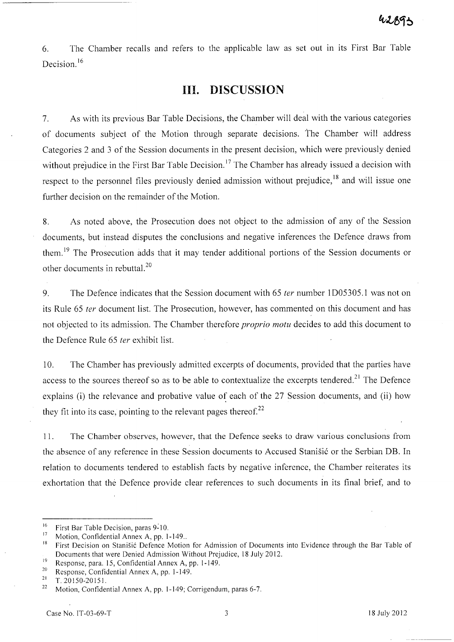6. The Chamber recalls and refers to the applicable law as set out in its First Bar Table Decision.<sup>16</sup>

# **Ill. DISCUSSION**

7. As with its previous Bar Table Decisions, the Chamber will deal with the various categories of documents subject of the Motion through separate decisions. The Chamber will address Categories 2 and 3 of the Session documents in the present decision, which were previously denied without prejudice in the First Bar Table Decision.<sup>17</sup> The Chamber has already issued a decision with respect to the personnel files previously denied admission without prejudice,<sup>18</sup> and will issue one further decision on the remainder of the Motion.

8. As noted above, the Prosecution does not object to the admission of any of the Session documents, but instead disputes the conclusions and negative inferences the Defence draws from them. 19 The Prosecution adds that it may tender additional portions of the Session documents or other documents in rebutta1.2o

9. The Defence indicates that the Session document with 65 fer number ID05305.1 was not on its Rule 65 fer document list. The Prosecution, however, has commented on this document and has not objected to its admission. The Chamber therefore *proprio motu* decides to add this document to the Defence Rule 65 fer exhibit list.

10. The Chamber has previously admitted excerpts of documents, provided that the parties have access to the sources thereof so as to be able to contextualize the excerpts tendered.<sup>21</sup> The Defence explains (i) the relevance and probative value of each of the 27 Session documents, and (ii) how they fit into its case, pointing to the relevant pages thereof.<sup>22</sup>

11. The Chamber observes, however, that the Defence seeks to draw various conclusions from the absence of any reference in these Session documents to Accused Stanisić or the Serbian DB. In relation to documents tendered to establish facts by negative inference, the Chamber reiterates its exhortation that the Defence provide clear references to such documents in its final brief, and to

<sup>19</sup> Response, para. 15, Confidential Annex A, pp. 1-149.<br><sup>20</sup> Pennance Confidential Annex A, pp. 1-140.

<sup>&</sup>lt;sup>16</sup> First Bar Table Decision, paras  $9-10$ .

<sup>&</sup>lt;sup>17</sup> Motion, Confidential Annex A, pp. 1-149...<br><sup>18</sup> Einst Desigion on Stanišić Defense Motion

First Decision on Stanišić Defence Motion for Admission of Documents into Evidence through the Bar Table of Documents that were Denied Admission Without Prejudice, 18 July 2012.

<sup>&</sup>lt;sup>20</sup> Response, Confidential Annex A, pp. 1-149.

<sup>&</sup>lt;sup>21</sup> T. 20150-20151.

<sup>22</sup> Motion, Confidential Annex A, pp. 1-149; Corrigendum, paras 6-7.